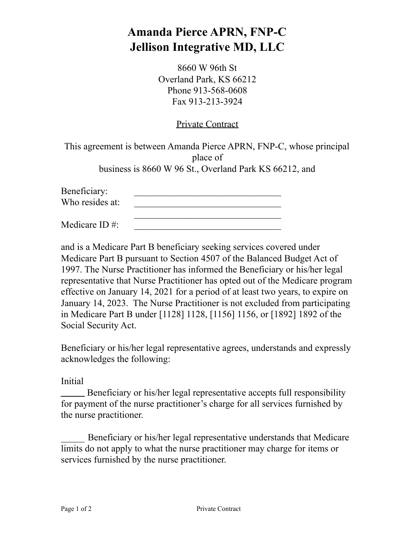## **Amanda Pierce APRN, FNP-C Jellison Integrative MD, LLC**

8660 W 96th St Overland Park, KS 66212 Phone 913-568-0608 Fax 913-213-3924

## Private Contract

This agreement is between Amanda Pierce APRN, FNP-C, whose principal place of business is 8660 W 96 St., Overland Park KS 66212, and

Beneficiary: Who resides at: \_\_\_\_\_\_\_\_\_\_\_\_\_\_\_\_\_\_\_\_\_\_\_\_\_\_\_\_\_\_\_

Medicare ID  $\#$ :

and is a Medicare Part B beneficiary seeking services covered under Medicare Part B pursuant to Section 4507 of the Balanced Budget Act of 1997. The Nurse Practitioner has informed the Beneficiary or his/her legal representative that Nurse Practitioner has opted out of the Medicare program effective on January 14, 2021 for a period of at least two years, to expire on January 14, 2023. The Nurse Practitioner is not excluded from participating in Medicare Part B under [1128] 1128, [1156] 1156, or [1892] 1892 of the Social Security Act.

Beneficiary or his/her legal representative agrees, understands and expressly acknowledges the following:

Initial

Beneficiary or his/her legal representative accepts full responsibility for payment of the nurse practitioner's charge for all services furnished by the nurse practitioner.

Beneficiary or his/her legal representative understands that Medicare limits do not apply to what the nurse practitioner may charge for items or services furnished by the nurse practitioner.